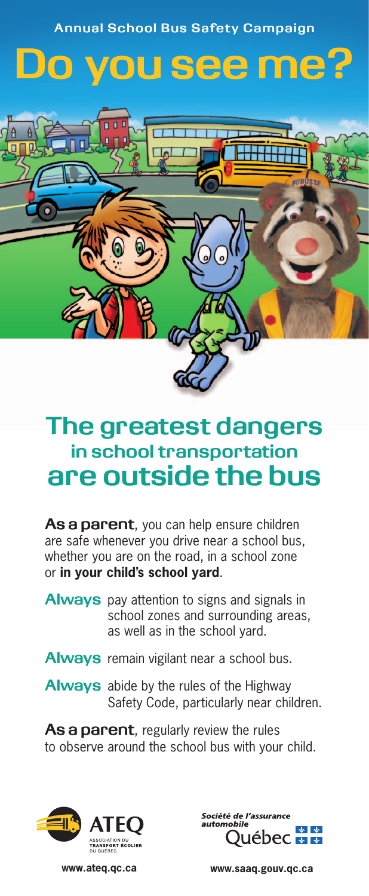**Annual School Bus Safety Campaign**

## Do you see me?



## **The greatest dangers in school transportation are outside the bus**

As a parent, you can help ensure children are safe whenever you drive near a school bus, whether you are on the road, in a school zone or **in your child's school yard**.

- **Always** pay attention to signs and signals in school zones and surrounding areas, as well as in the school yard.
- **Always** remain vigilant near a school bus.
- **Always** abide by the rules of the Highway Safety Code, particularly near children.

**As a parent**, regularly review the rules to observe around the school bus with your child.





**www.ateq.qc.ca www.saaq.gouv.qc.ca**